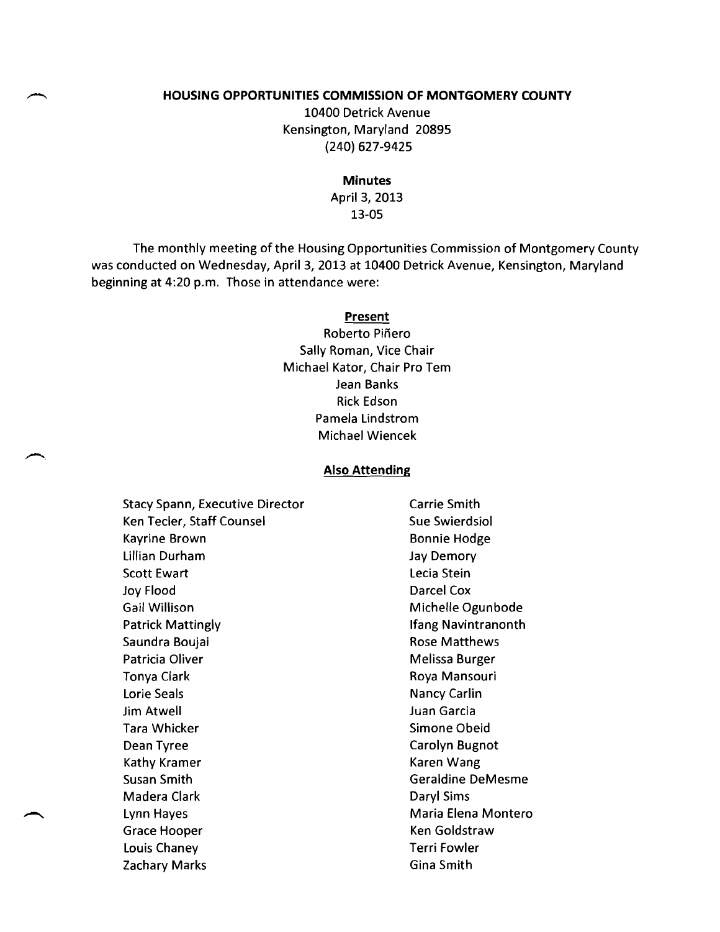#### **HOUSING OPPORTUNITIES COMMISSION OF MONTGOMERY COUNTY**

10400 Detrick Avenue Kensington, Maryland 20895 (240) 627-9425

**Minutes** 

April 3, 2013 13-05

The monthly meeting of the Housing Opportunities Commission of Montgomery County was conducted on Wednesday, April 3, 2013 at 10400 Detrick Avenue, Kensington, Maryland beginning at 4:20 p.m. Those in attendance were:

#### **Present**

Roberto Piñero Sally Roman, Vice Chair Michael Kator, Chair Pro Tem Jean Banks Rick Edson Pamela Lindstrom Michael Wiencek

#### **Also Attending**

Stacy Spann, Executive Director Carrie Smith Ken Tecler, Staff Counsel Sue Swierdsiol Kayrine Brown Bonnie Hodge Lillian Durham Jay Demory Scott Ewart **Lecia Stein** Joy Flood Darcel Cox Gail Willison **Michelle Ogunbode** Patrick Mattingly **Ifang Navintranonth** Saundra Boujai **Rose Matthews** Patricia Oliver **Melissa Burger** Melissa Burger Tonya Clark **Roya Mansouri** Roya Mansouri Lorie Seals Nancy Carlin Jim Atwell Juan Garcia Tara Whicker **Simone Obeid** Simone Obeid Dean Tyree Carolyn Bugnot Kathy Kramer **Kathy Kramer** Karen Wang Susan Smith Geraldine DeMesme Madera Clark **Daryl Sims** Lynn Hayes **Maria Elena Montero** Maria Elena Montero Grace Hooper The Collection of the Ken Goldstraw Louis Chaney Terri Fowler

Zachary Marks **Gina Smith**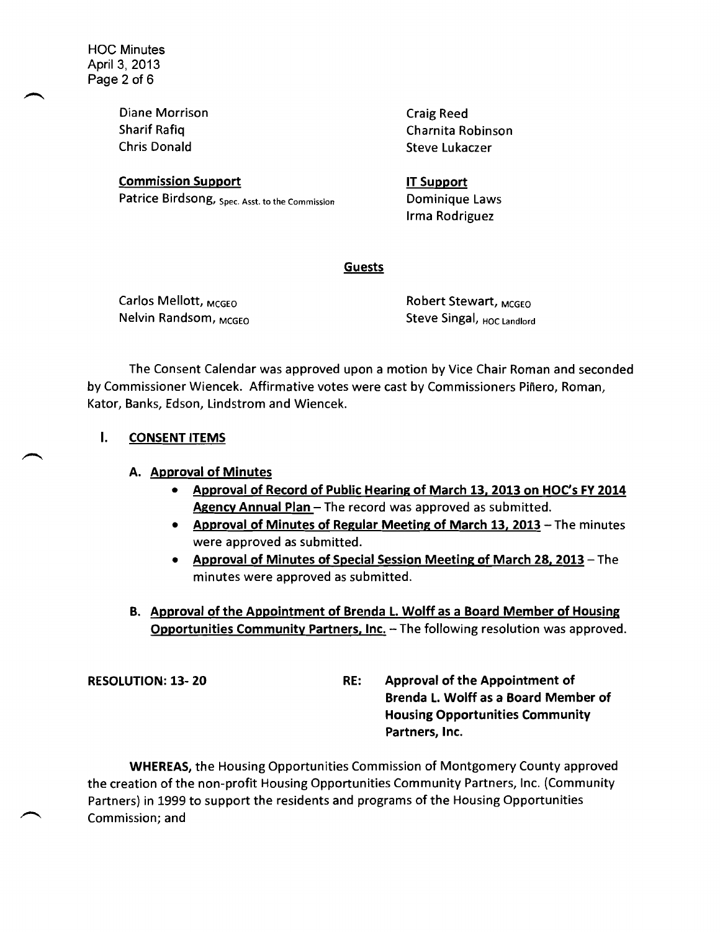Diane Morrison Chris Donald Steve Lukaczer

**Commission Support Commission Support** Patrice Birdsong, Spec. Asst. to the Commission

**Craig Reed** Sharif Rafiq Charnita Robinson

> Dominique Laws Irma Rodriguez

### **Guests**

Carlos Mellott, <sub>MCGEO</sub> Robert Stewart, <sub>MCGEO</sub>

Nelvin Randsom, <sub>MCGEO</sub> Steve Singal, <sub>HOC Landlord</sub>

The Consent Calendar was approved upon a motion by Vice Chair Roman and seconded by Commissioner Wiencek. Affirmative votes were cast by Commissioners Pinero, Roman, Kator, Banks, Edson, Lindstrom and Wiencek.

## I. CONSENT ITEMS

## A. Approval of Minutes

- • Approval of Record of Public Hearing of March 13, 2013 on HOC's FY 2014 Agency Annual Plan - The record was approved as submitted.
- Approval of Minutes of Regular Meeting of March 13, 2013 The minutes were approved as submitted.
- **Approval of Minutes of Special Session Meeting of March 28, 2013 The** minutes were approved as submitted.
- B. Approval of the Appointment of Brenda L. Wolff as a Board Member of Housing Opportunities Community Partners, Inc. - The following resolution was approved.

RESOLUTION: 13-20 RE: Approval of the Appointment of Brenda L. Wolff as a Board Member of Housing Opportunities Community Partners, Inc.

WHEREAS, the Housing Opportunities Commission of Montgomery County approved the creation of the non-profit Housing Opportunities Community Partners, Inc. (Community Partners) in 1999 to support the residents and programs of the Housing Opportunities Commission; and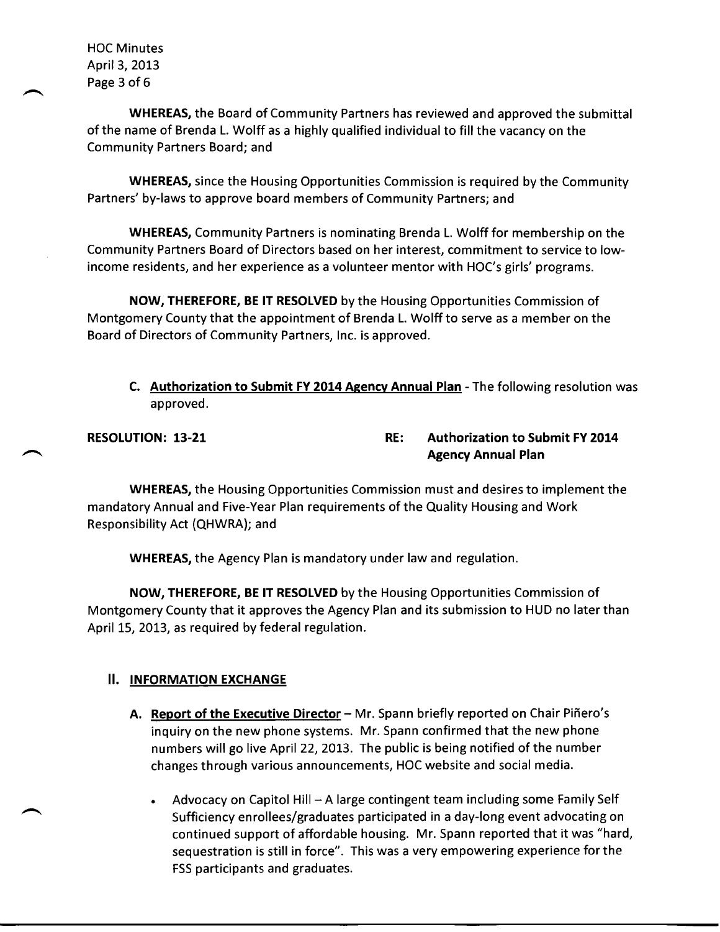HOC Minutes April 3, 2013 Page 3 of 6

WHEREAS, the Board of Community Partners has reviewed and approved the submittal of the name of Brenda L. Wolff as a highly qualified individual to fill the vacancy on the Community Partners Board; and

WHEREAS, since the Housing Opportunities Commission is required by the Community Partners' by-laws to approve board members of Community Partners; and

WHEREAS, Community Partners is nominating Brenda L. Wolff for membership on the Community Partners Board of Directors based on her interest, commitment to service to lowincome residents, and her experience as a volunteer mentor with HOC's girls' programs.

NOW, THEREFORE, BE IT RESOLVED by the Housing Opportunities Commission of Montgomery County that the appointment of Brenda L. Wolff to serve as a member on the Board of Directors of Community Partners, Inc. is approved.

C. Authorization to Submit FY 2014 Agency Annual Plan - The following resolution was approved.

## RESOLUTION: 13-21 **RESOLUTION: 13-21** RE: Authorization to Submit FY 2014 Agency Annual Plan

WHEREAS, the Housing Opportunities Commission must and desires to implement the mandatory Annual and Five-Year Plan requirements of the Quality Housing and Work Responsibility Act (QHWRA); and

WHEREAS, the Agency Plan is mandatory under law and regulation.

NOW, THEREFORE, BE IT RESOLVED by the Housing Opportunities Commission of Montgomery County that it approves the Agency Plan and its submission to HUD no later than April 15, 2013, as required by federal regulation.

## **II. INFORMATION EXCHANGE**

- A. Report of the Executive Director Mr. Spann briefly reported on Chair Piñero's inquiry on the new phone systems. Mr. Spann confirmed that the new phone numbers will go live April 22, 2013. The public is being notified of the number changes through various announcements, HOC website and social media.
	- Advocacy on Capitol Hill  $A$  large contingent team including some Family Self Sufficiency enrollees/graduates participated in a day-long event advocating on continued support of affordable housing. Mr. Spann reported that it was "hard, sequestration is still in force". This was a very empowering experience forthe FSS participants and graduates.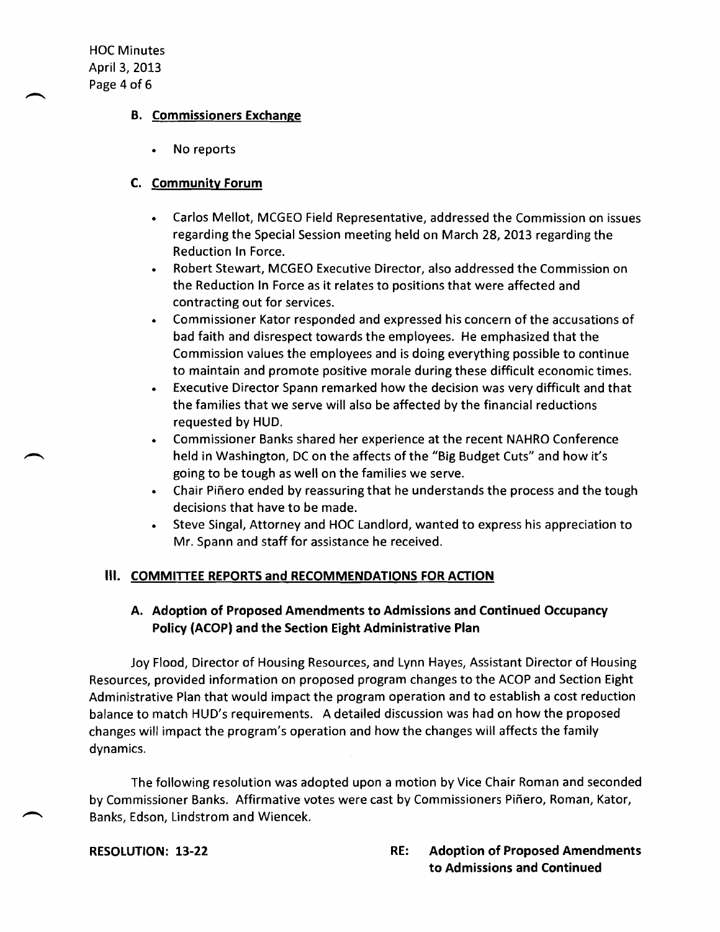HOC Minutes April 3, 2013 Page 4 of 6

#### B. Commissioners Exchange

No reports

## C. Community Forum

- Carlos Mellot, MCGEO Field Representative, addressed the Commission on issues regarding the Special Session meeting held on March 28, 2013 regarding the Reduction In Force.
- • Robert Stewart, MCGEO Executive Director, also addressed the Commission on the Reduction In Force as it relates to positions that were affected and contracting out for services.
- Commissioner Kator responded and expressed his concern of the accusations of bad faith and disrespect towards the employees. He emphasized that the Commission values the employees and is doing everything possible to continue to maintain and promote positive morale during these difficult economic times.
- Executive Director Spann remarked how the decision was very difficult and that the families that we serve will also be affected by the financial reductions requested by HUD.
- Commissioner Banks shared her experience at the recent NAHRO Conference held in Washington, DC on the affects of the "Big Budget Cuts" and how it's going to be tough as well on the families we serve.
- Chair Piñero ended by reassuring that he understands the process and the tough decisions that have to be made.
- Steve Singal, Attorney and HOC Landlord, wanted to express his appreciation to Mr. Spann and staff for assistance he received.

## III. COMMITTEE REPORTS and RECOMMENDATIONS FOR ACTION

## A. Adoption of Proposed Amendments to Admissions and Continued Occupancy Policy (ACOP) and the Section Eight Administrative Plan

Joy Flood, Director of Housing Resources, and Lynn Hayes, Assistant Director of Housing Resources, provided information on proposed program changes to the ACOP and Section Eight Administrative Plan that would impact the program operation and to establish a cost reduction balance to match HUD's requirements. A detailed discussion was had on how the proposed changes will impact the program's operation and how the changes will affects the family dynamics.

The following resolution was adopted upon a motion by Vice Chair Roman and seconded by Commissioner Banks. Affirmative votes were cast by Commissioners Pinero, Roman, Kator, Banks, Edson, Lindstrom and Wiencek.

#### RESOLUTION: 13-22 RE: Adoption of Proposed Amendments to Admissions and Continued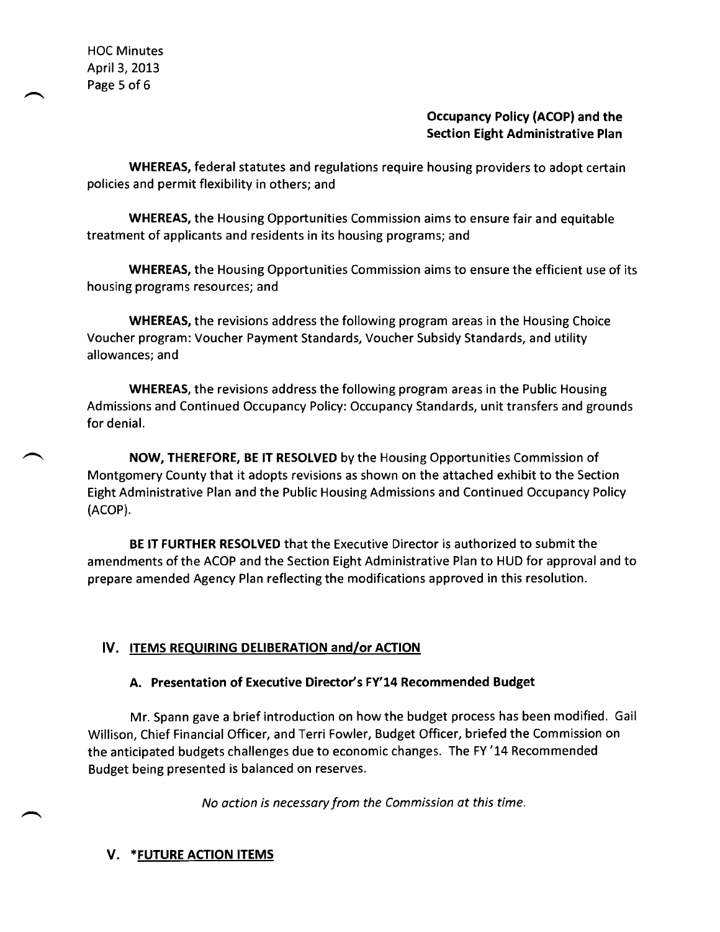HOC Minutes April 3, 2013 Page 5 of 6

## **Occupancy Policy (ACOP) and the Section Eight Administrative Plan**

**WHEREAS,** federal statutes and regulations require housing providers to adopt certain policies and permit flexibility in others; and

**WHEREAS,** the Housing Opportunities Commission aims to ensure fair and equitable treatment of applicants and residents in its housing programs; and

**WHEREAS,** the Housing Opportunities Commission aims to ensure the efficient use of its housing programs resources; and

**WHEREAS,** the revisions address the following program areas in the Housing Choice Voucher program: Voucher Payment Standards, Voucher Subsidy Standards, and utility allowances; and

**WHEREAS,** the revisions address the following program areas in the Public Housing Admissions and Continued Occupancy Policy: Occupancy Standards, unit transfers and grounds for denial.

**NOW, THEREFORE, BE IT RESOLVED** by the Housing Opportunities Commission of Montgomery County that it adopts revisions as shown on the attached exhibit to the Section Eight Administrative Plan and the Public Housing Admissions and Continued Occupancy Policy (ACOP).

**BE IT FURTHER RESOLVED** that the Executive Director is authorized to submit the amendments of the ACOP and the Section Eight Administrative Plan to HUD for approval and to prepare amended Agency Plan reflecting the modifications approved in this resolution.

# **IV. ITEMS REQUIRING DELIBERATION and/or ACTION**

## **A. Presentation of Executive Director's FY'14 Recommended Budget**

Mr. Spann gave a brief introduction on how the budget process has been modified. Gail Willison, Chief Financial Officer, and Terri Fowler, Budget Officer, briefed the Commission on the anticipated budgets challenges due to economic changes. The FY '14 Recommended Budget being presented is balanced on reserves.

*No action is necessary from the Commission at this time.* 

## **V. \*FUTURE ACTION ITEMS**